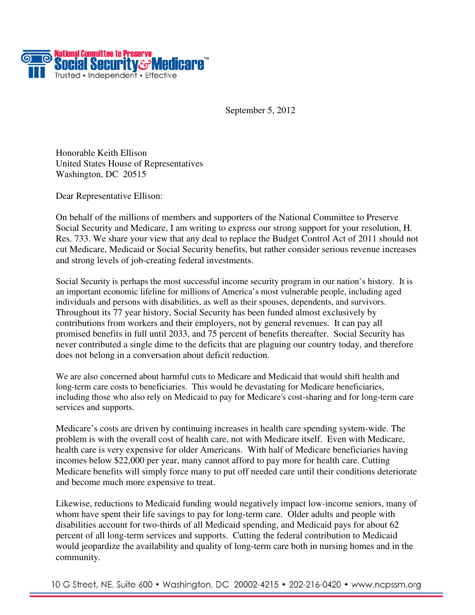

September 5, 2012

Honorable Keith Ellison United States House of Representatives Washington, DC 20515

Dear Representative Ellison:

On behalf of the millions of members and supporters of the National Committee to Preserve Social Security and Medicare, I am writing to express our strong support for your resolution, H. Res. 733. We share your view that any deal to replace the Budget Control Act of 2011 should not cut Medicare, Medicaid or Social Security benefits, but rather consider serious revenue increases and strong levels of job-creating federal investments.

Social Security is perhaps the most successful income security program in our nation's history. It is an important economic lifeline for millions of America's most vulnerable people, including aged individuals and persons with disabilities, as well as their spouses, dependents, and survivors. Throughout its 77 year history, Social Security has been funded almost exclusively by contributions from workers and their employers, not by general revenues. It can pay all promised benefits in full until 2033, and 75 percent of benefits thereafter. Social Security has never contributed a single dime to the deficits that are plaguing our country today, and therefore does not belong in a conversation about deficit reduction.

We are also concerned about harmful cuts to Medicare and Medicaid that would shift health and long-term care costs to beneficiaries. This would be devastating for Medicare beneficiaries, including those who also rely on Medicaid to pay for Medicare's cost-sharing and for long-term care services and supports.

Medicare's costs are driven by continuing increases in health care spending system-wide. The problem is with the overall cost of health care, not with Medicare itself. Even with Medicare, health care is very expensive for older Americans. With half of Medicare beneficiaries having incomes below \$22,000 per year, many cannot afford to pay more for health care. Cutting Medicare benefits will simply force many to put off needed care until their conditions deteriorate and become much more expensive to treat.

Likewise, reductions to Medicaid funding would negatively impact low-income seniors, many of whom have spent their life savings to pay for long-term care. Older adults and people with disabilities account for two-thirds of all Medicaid spending, and Medicaid pays for about 62 percent of all long-term services and supports. Cutting the federal contribution to Medicaid would jeopardize the availability and quality of long-term care both in nursing homes and in the community.

10 G Street, NE, Suite 600 • Washington, DC 20002-4215 • 202-216-0420 • www.ncpssm.org